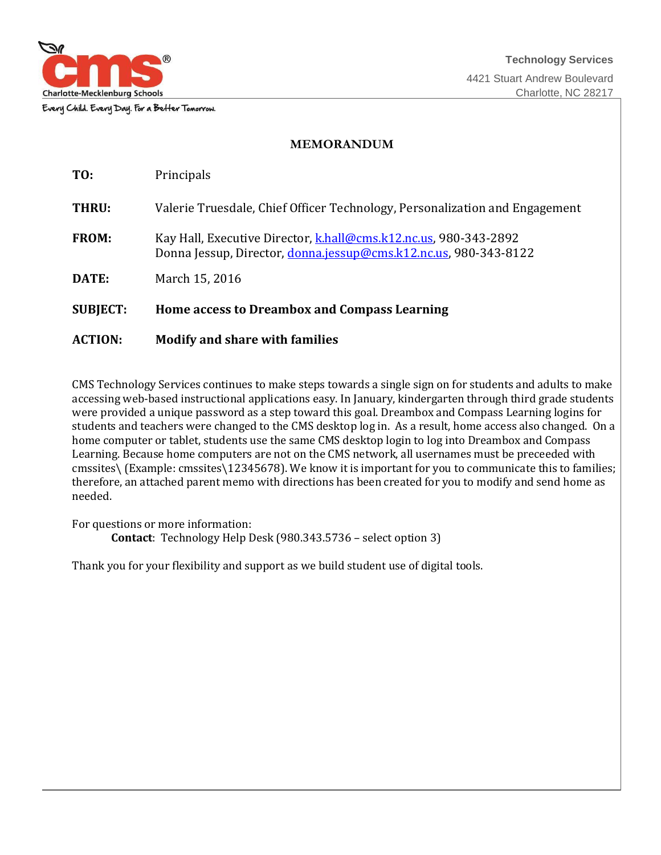

Every Child. Every Day. For a Better Tomorrow.

### **MEMORANDUM**

| TO:             | Principals                                                                                                                          |
|-----------------|-------------------------------------------------------------------------------------------------------------------------------------|
| THRU:           | Valerie Truesdale, Chief Officer Technology, Personalization and Engagement                                                         |
| <b>FROM:</b>    | Kay Hall, Executive Director, khall@cms.k12.nc.us, 980-343-2892<br>Donna Jessup, Director, donna jessup@cms.k12.nc.us, 980-343-8122 |
| DATE:           | March 15, 2016                                                                                                                      |
| <b>SUBJECT:</b> | <b>Home access to Dreambox and Compass Learning</b>                                                                                 |

### **ACTION: Modify and share with families**

CMS Technology Services continues to make steps towards a single sign on for students and adults to make accessing web-based instructional applications easy. In January, kindergarten through third grade students were provided a unique password as a step toward this goal. Dreambox and Compass Learning logins for students and teachers were changed to the CMS desktop log in. As a result, home access also changed. On a home computer or tablet, students use the same CMS desktop login to log into Dreambox and Compass Learning. Because home computers are not on the CMS network, all usernames must be preceeded with cmssites\ (Example: cmssites\12345678). We know it is important for you to communicate this to families; therefore, an attached parent memo with directions has been created for you to modify and send home as needed.

For questions or more information: **Contact**: Technology Help Desk (980.343.5736 – select option 3)

Thank you for your flexibility and support as we build student use of digital tools.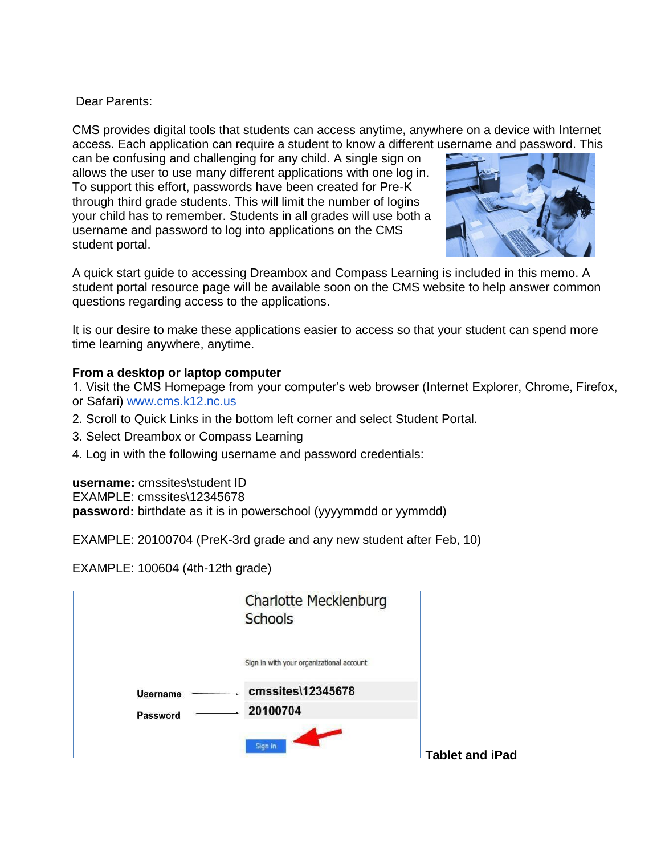# Dear Parents:

CMS provides digital tools that students can access anytime, anywhere on a device with Internet access. Each application can require a student to know a different username and password. This

can be confusing and challenging for any child. A single sign on allows the user to use many different applications with one log in. To support this effort, passwords have been created for Pre-K through third grade students. This will limit the number of logins your child has to remember. Students in all grades will use both a username and password to log into applications on the CMS student portal.



A quick start guide to accessing Dreambox and Compass Learning is included in this memo. A student portal resource page will be available soon on the CMS website to help answer common questions regarding access to the applications.

It is our desire to make these applications easier to access so that your student can spend more time learning anywhere, anytime.

# **From a desktop or laptop computer**

- 1. Visit the CMS Homepage from your computer's web browser (Internet Explorer, Chrome, Firefox, or Safari) www.cms.k12.nc.us
- 2. Scroll to Quick Links in the bottom left corner and select Student Portal.
- 3. Select Dreambox or Compass Learning
- 4. Log in with the following username and password credentials:

**username:** cmssites\student ID EXAMPLE: cmssites\12345678

**password:** birthdate as it is in powerschool (yyyymmdd or yymmdd)

EXAMPLE: 20100704 (PreK-3rd grade and any new student after Feb, 10)

EXAMPLE: 100604 (4th-12th grade)